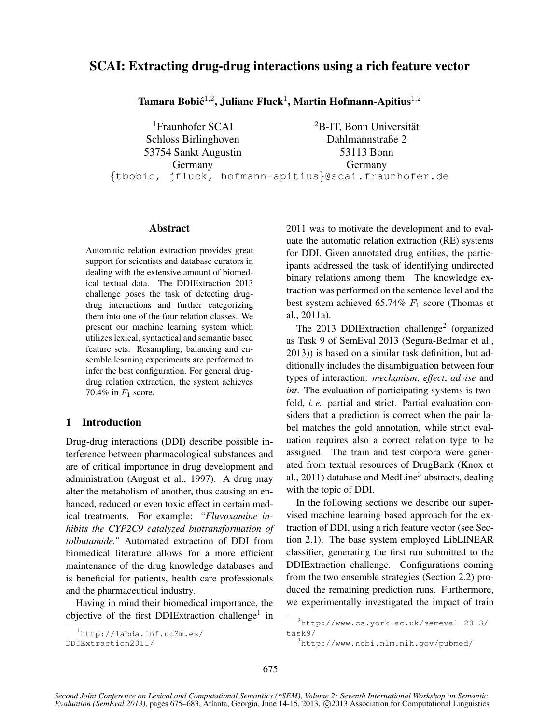# SCAI: Extracting drug-drug interactions using a rich feature vector

Tamara Bobić $^{1,2}$ , Juliane Fluck $^1$ , Martin Hofmann-Apitius $^{1,2}$ 

<sup>1</sup>Fraunhofer SCAI Schloss Birlinghoven 53754 Sankt Augustin Germany  ${}^{2}B$ -IT, Bonn Universität Dahlmannstraße 2 53113 Bonn Germany {tbobic, jfluck, hofmann-apitius}@scai.fraunhofer.de

## Abstract

Automatic relation extraction provides great support for scientists and database curators in dealing with the extensive amount of biomedical textual data. The DDIExtraction 2013 challenge poses the task of detecting drugdrug interactions and further categorizing them into one of the four relation classes. We present our machine learning system which utilizes lexical, syntactical and semantic based feature sets. Resampling, balancing and ensemble learning experiments are performed to infer the best configuration. For general drugdrug relation extraction, the system achieves 70.4% in  $F_1$  score.

## 1 Introduction

Drug-drug interactions (DDI) describe possible interference between pharmacological substances and are of critical importance in drug development and administration (August et al., 1997). A drug may alter the metabolism of another, thus causing an enhanced, reduced or even toxic effect in certain medical treatments. For example: *"Fluvoxamine inhibits the CYP2C9 catalyzed biotransformation of tolbutamide."* Automated extraction of DDI from biomedical literature allows for a more efficient maintenance of the drug knowledge databases and is beneficial for patients, health care professionals and the pharmaceutical industry.

Having in mind their biomedical importance, the objective of the first DDIExtraction challenge<sup>1</sup> in

2011 was to motivate the development and to evaluate the automatic relation extraction (RE) systems for DDI. Given annotated drug entities, the participants addressed the task of identifying undirected binary relations among them. The knowledge extraction was performed on the sentence level and the best system achieved 65.74%  $F_1$  score (Thomas et al., 2011a).

The 2013 DDIExtraction challenge<sup>2</sup> (organized as Task 9 of SemEval 2013 (Segura-Bedmar et al., 2013)) is based on a similar task definition, but additionally includes the disambiguation between four types of interaction: *mechanism*, *effect*, *advise* and *int*. The evaluation of participating systems is twofold, *i. e.* partial and strict. Partial evaluation considers that a prediction is correct when the pair label matches the gold annotation, while strict evaluation requires also a correct relation type to be assigned. The train and test corpora were generated from textual resources of DrugBank (Knox et al., 2011) database and MedLine<sup>3</sup> abstracts, dealing with the topic of DDI.

In the following sections we describe our supervised machine learning based approach for the extraction of DDI, using a rich feature vector (see Section 2.1). The base system employed LibLINEAR classifier, generating the first run submitted to the DDIExtraction challenge. Configurations coming from the two ensemble strategies (Section 2.2) produced the remaining prediction runs. Furthermore, we experimentally investigated the impact of train

<sup>1</sup>http://labda.inf.uc3m.es/

DDIExtraction2011/

<sup>2</sup>http://www.cs.york.ac.uk/semeval-2013/ task9/

<sup>3</sup>http://www.ncbi.nlm.nih.gov/pubmed/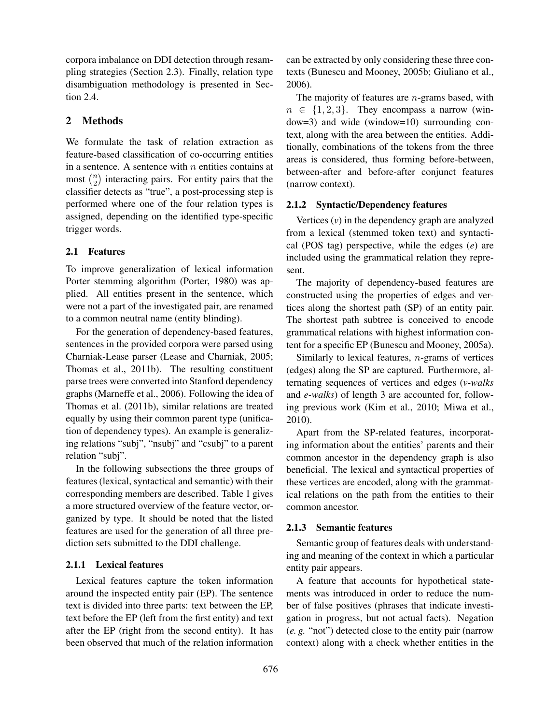corpora imbalance on DDI detection through resampling strategies (Section 2.3). Finally, relation type disambiguation methodology is presented in Section 2.4.

## 2 Methods

We formulate the task of relation extraction as feature-based classification of co-occurring entities in a sentence. A sentence with  $n$  entities contains at most  $\binom{n}{2}$  $\binom{n}{2}$  interacting pairs. For entity pairs that the classifier detects as "true", a post-processing step is performed where one of the four relation types is assigned, depending on the identified type-specific trigger words.

## 2.1 Features

To improve generalization of lexical information Porter stemming algorithm (Porter, 1980) was applied. All entities present in the sentence, which were not a part of the investigated pair, are renamed to a common neutral name (entity blinding).

For the generation of dependency-based features, sentences in the provided corpora were parsed using Charniak-Lease parser (Lease and Charniak, 2005; Thomas et al., 2011b). The resulting constituent parse trees were converted into Stanford dependency graphs (Marneffe et al., 2006). Following the idea of Thomas et al. (2011b), similar relations are treated equally by using their common parent type (unification of dependency types). An example is generalizing relations "subj", "nsubj" and "csubj" to a parent relation "subj".

In the following subsections the three groups of features (lexical, syntactical and semantic) with their corresponding members are described. Table 1 gives a more structured overview of the feature vector, organized by type. It should be noted that the listed features are used for the generation of all three prediction sets submitted to the DDI challenge.

## 2.1.1 Lexical features

Lexical features capture the token information around the inspected entity pair (EP). The sentence text is divided into three parts: text between the EP, text before the EP (left from the first entity) and text after the EP (right from the second entity). It has been observed that much of the relation information

can be extracted by only considering these three contexts (Bunescu and Mooney, 2005b; Giuliano et al., 2006).

The majority of features are  $n$ -grams based, with  $n \in \{1, 2, 3\}$ . They encompass a narrow (window=3) and wide (window=10) surrounding context, along with the area between the entities. Additionally, combinations of the tokens from the three areas is considered, thus forming before-between, between-after and before-after conjunct features (narrow context).

#### 2.1.2 Syntactic/Dependency features

Vertices (*v*) in the dependency graph are analyzed from a lexical (stemmed token text) and syntactical (POS tag) perspective, while the edges (*e*) are included using the grammatical relation they represent.

The majority of dependency-based features are constructed using the properties of edges and vertices along the shortest path (SP) of an entity pair. The shortest path subtree is conceived to encode grammatical relations with highest information content for a specific EP (Bunescu and Mooney, 2005a).

Similarly to lexical features,  $n$ -grams of vertices (edges) along the SP are captured. Furthermore, alternating sequences of vertices and edges (*v-walks* and *e-walks*) of length 3 are accounted for, following previous work (Kim et al., 2010; Miwa et al., 2010).

Apart from the SP-related features, incorporating information about the entities' parents and their common ancestor in the dependency graph is also beneficial. The lexical and syntactical properties of these vertices are encoded, along with the grammatical relations on the path from the entities to their common ancestor.

#### 2.1.3 Semantic features

Semantic group of features deals with understanding and meaning of the context in which a particular entity pair appears.

A feature that accounts for hypothetical statements was introduced in order to reduce the number of false positives (phrases that indicate investigation in progress, but not actual facts). Negation (*e. g.* "not") detected close to the entity pair (narrow context) along with a check whether entities in the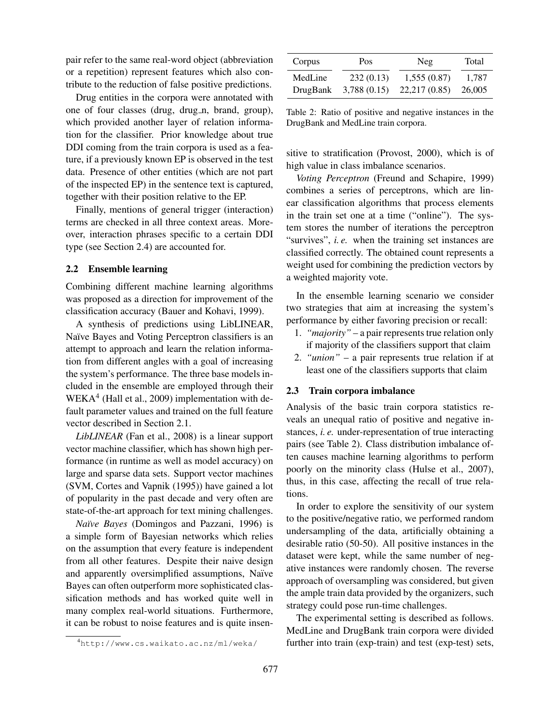pair refer to the same real-word object (abbreviation or a repetition) represent features which also contribute to the reduction of false positive predictions.

Drug entities in the corpora were annotated with one of four classes (drug, drug<sub>n</sub>, brand, group), which provided another layer of relation information for the classifier. Prior knowledge about true DDI coming from the train corpora is used as a feature, if a previously known EP is observed in the test data. Presence of other entities (which are not part of the inspected EP) in the sentence text is captured, together with their position relative to the EP.

Finally, mentions of general trigger (interaction) terms are checked in all three context areas. Moreover, interaction phrases specific to a certain DDI type (see Section 2.4) are accounted for.

#### 2.2 Ensemble learning

Combining different machine learning algorithms was proposed as a direction for improvement of the classification accuracy (Bauer and Kohavi, 1999).

A synthesis of predictions using LibLINEAR, Naïve Bayes and Voting Perceptron classifiers is an attempt to approach and learn the relation information from different angles with a goal of increasing the system's performance. The three base models included in the ensemble are employed through their WEKA<sup>4</sup> (Hall et al., 2009) implementation with default parameter values and trained on the full feature vector described in Section 2.1.

*LibLINEAR* (Fan et al., 2008) is a linear support vector machine classifier, which has shown high performance (in runtime as well as model accuracy) on large and sparse data sets. Support vector machines (SVM, Cortes and Vapnik (1995)) have gained a lot of popularity in the past decade and very often are state-of-the-art approach for text mining challenges.

*Na¨ıve Bayes* (Domingos and Pazzani, 1996) is a simple form of Bayesian networks which relies on the assumption that every feature is independent from all other features. Despite their naive design and apparently oversimplified assumptions, Naïve Bayes can often outperform more sophisticated classification methods and has worked quite well in many complex real-world situations. Furthermore, it can be robust to noise features and is quite insen-

| Corpus   | Pos.        | Neg.          | Total  |  |  |
|----------|-------------|---------------|--------|--|--|
| MedLine  | 232(0.13)   | 1,555(0.87)   | 1.787  |  |  |
| DrugBank | 3,788(0.15) | 22,217 (0.85) | 26,005 |  |  |

Table 2: Ratio of positive and negative instances in the DrugBank and MedLine train corpora.

sitive to stratification (Provost, 2000), which is of high value in class imbalance scenarios.

*Voting Perceptron* (Freund and Schapire, 1999) combines a series of perceptrons, which are linear classification algorithms that process elements in the train set one at a time ("online"). The system stores the number of iterations the perceptron "survives", *i. e.* when the training set instances are classified correctly. The obtained count represents a weight used for combining the prediction vectors by a weighted majority vote.

In the ensemble learning scenario we consider two strategies that aim at increasing the system's performance by either favoring precision or recall:

- 1. *"majority"* a pair represents true relation only if majority of the classifiers support that claim
- 2. *"union"* a pair represents true relation if at least one of the classifiers supports that claim

#### 2.3 Train corpora imbalance

Analysis of the basic train corpora statistics reveals an unequal ratio of positive and negative instances, *i. e.* under-representation of true interacting pairs (see Table 2). Class distribution imbalance often causes machine learning algorithms to perform poorly on the minority class (Hulse et al., 2007), thus, in this case, affecting the recall of true relations.

In order to explore the sensitivity of our system to the positive/negative ratio, we performed random undersampling of the data, artificially obtaining a desirable ratio (50-50). All positive instances in the dataset were kept, while the same number of negative instances were randomly chosen. The reverse approach of oversampling was considered, but given the ample train data provided by the organizers, such strategy could pose run-time challenges.

The experimental setting is described as follows. MedLine and DrugBank train corpora were divided further into train (exp-train) and test (exp-test) sets,

<sup>4</sup>http://www.cs.waikato.ac.nz/ml/weka/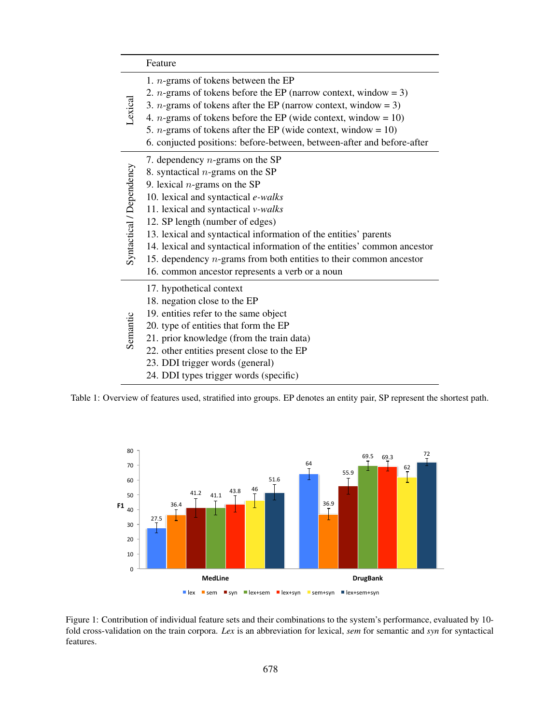|                          | Feature                                                                                                                                                                                                                                                                                                                                                                                                                                                                                                   |
|--------------------------|-----------------------------------------------------------------------------------------------------------------------------------------------------------------------------------------------------------------------------------------------------------------------------------------------------------------------------------------------------------------------------------------------------------------------------------------------------------------------------------------------------------|
| Lexical                  | 1. $n$ -grams of tokens between the EP<br>2. <i>n</i> -grams of tokens before the EP (narrow context, window = 3)<br>3. <i>n</i> -grams of tokens after the EP (narrow context, window = 3)<br>4. <i>n</i> -grams of tokens before the EP (wide context, window = 10)<br>5. <i>n</i> -grams of tokens after the EP (wide context, window = 10)<br>6. conjucted positions: before-between, between-after and before-after                                                                                  |
| Syntactical / Dependency | 7. dependency $n$ -grams on the SP<br>8. syntactical $n$ -grams on the SP<br>9. lexical $n$ -grams on the SP<br>10. lexical and syntactical e-walks<br>11. lexical and syntactical v-walks<br>12. SP length (number of edges)<br>13. lexical and syntactical information of the entities' parents<br>14. lexical and syntactical information of the entities' common ancestor<br>15. dependency $n$ -grams from both entities to their common ancestor<br>16. common ancestor represents a verb or a noun |
| Semantic                 | 17. hypothetical context<br>18. negation close to the EP<br>19. entities refer to the same object<br>20. type of entities that form the EP<br>21. prior knowledge (from the train data)<br>22. other entities present close to the EP<br>23. DDI trigger words (general)<br>24. DDI types trigger words (specific)                                                                                                                                                                                        |

Table 1: Overview of features used, stratified into groups. EP denotes an entity pair, SP represent the shortest path.



Figure 1: Contribution of individual feature sets and their combinations to the system's performance, evaluated by 10 fold cross-validation on the train corpora. *Lex* is an abbreviation for lexical, *sem* for semantic and *syn* for syntactical features.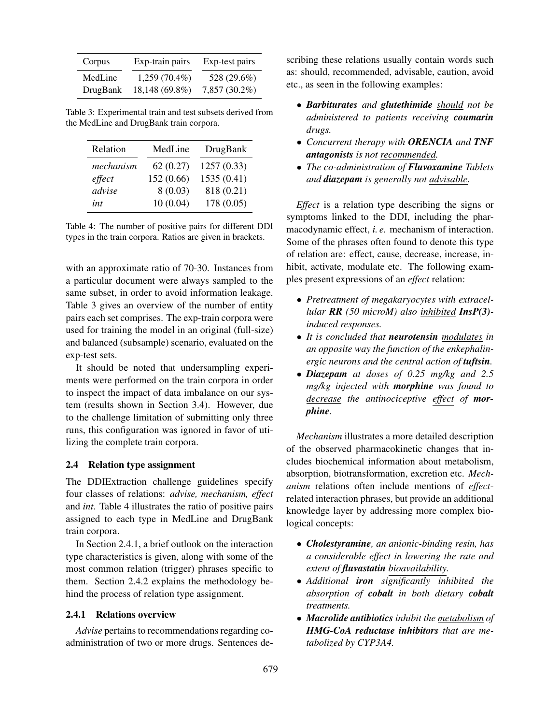| Corpus   | Exp-train pairs | Exp-test pairs |
|----------|-----------------|----------------|
| MedLine  | $1,259(70.4\%)$ | 528 (29.6%)    |
| DrugBank | 18,148 (69.8%)  | 7,857 (30.2%)  |

Table 3: Experimental train and test subsets derived from the MedLine and DrugBank train corpora.

| Relation  | MedLine    | DrugBank    |
|-----------|------------|-------------|
| mechanism | 62(0.27)   | 1257(0.33)  |
| effect    | 152 (0.66) | 1535 (0.41) |
| advise    | 8(0.03)    | 818 (0.21)  |
| int       | 10(0.04)   | 178 (0.05)  |

Table 4: The number of positive pairs for different DDI types in the train corpora. Ratios are given in brackets.

with an approximate ratio of 70-30. Instances from a particular document were always sampled to the same subset, in order to avoid information leakage. Table 3 gives an overview of the number of entity pairs each set comprises. The exp-train corpora were used for training the model in an original (full-size) and balanced (subsample) scenario, evaluated on the exp-test sets.

It should be noted that undersampling experiments were performed on the train corpora in order to inspect the impact of data imbalance on our system (results shown in Section 3.4). However, due to the challenge limitation of submitting only three runs, this configuration was ignored in favor of utilizing the complete train corpora.

#### 2.4 Relation type assignment

The DDIExtraction challenge guidelines specify four classes of relations: *advise, mechanism, effect* and *int*. Table 4 illustrates the ratio of positive pairs assigned to each type in MedLine and DrugBank train corpora.

In Section 2.4.1, a brief outlook on the interaction type characteristics is given, along with some of the most common relation (trigger) phrases specific to them. Section 2.4.2 explains the methodology behind the process of relation type assignment.

#### 2.4.1 Relations overview

*Advise* pertains to recommendations regarding coadministration of two or more drugs. Sentences describing these relations usually contain words such as: should, recommended, advisable, caution, avoid etc., as seen in the following examples:

- *Barbiturates and glutethimide should not be administered to patients receiving coumarin drugs.*
- *Concurrent therapy with ORENCIA and TNF antagonists is not recommended.*
- *The co-administration of Fluvoxamine Tablets and diazepam is generally not advisable.*

*Effect* is a relation type describing the signs or symptoms linked to the DDI, including the pharmacodynamic effect, *i. e.* mechanism of interaction. Some of the phrases often found to denote this type of relation are: effect, cause, decrease, increase, inhibit, activate, modulate etc. The following examples present expressions of an *effect* relation:

- *Pretreatment of megakaryocytes with extracellular RR (50 microM) also inhibited InsP(3) induced responses.*
- *It is concluded that neurotensin modulates in an opposite way the function of the enkephalinergic neurons and the central action of tuftsin.*
- *Diazepam at doses of 0.25 mg/kg and 2.5 mg/kg injected with morphine was found to decrease the antinociceptive effect of morphine.*

*Mechanism* illustrates a more detailed description of the observed pharmacokinetic changes that includes biochemical information about metabolism, absorption, biotransformation, excretion etc. *Mechanism* relations often include mentions of *effect*related interaction phrases, but provide an additional knowledge layer by addressing more complex biological concepts:

- *Cholestyramine, an anionic-binding resin, has a considerable effect in lowering the rate and extent of fluvastatin bioavailability.*
- *Additional iron significantly inhibited the absorption of cobalt in both dietary cobalt treatments.*
- *Macrolide antibiotics inhibit the metabolism of HMG-CoA reductase inhibitors that are metabolized by CYP3A4.*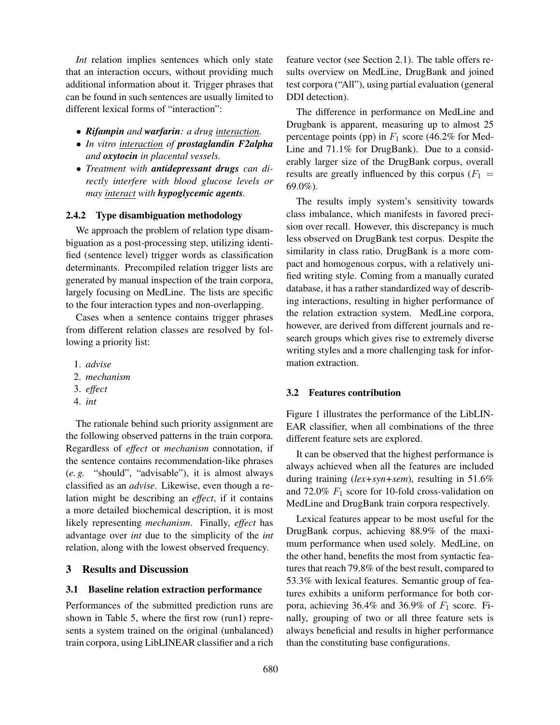*Int* relation implies sentences which only state that an interaction occurs, without providing much additional information about it. Trigger phrases that can be found in such sentences are usually limited to different lexical forms of "interaction":

- *Rifampin and warfarin: a drug interaction.*
- *In vitro interaction of prostaglandin F2alpha and oxytocin in placental vessels.*
- *Treatment with antidepressant drugs can directly interfere with blood glucose levels or may interact with hypoglycemic agents.*

## 2.4.2 Type disambiguation methodology

We approach the problem of relation type disambiguation as a post-processing step, utilizing identified (sentence level) trigger words as classification determinants. Precompiled relation trigger lists are generated by manual inspection of the train corpora, largely focusing on MedLine. The lists are specific to the four interaction types and non-overlapping.

Cases when a sentence contains trigger phrases from different relation classes are resolved by following a priority list:

- 1. *advise*
- 2. *mechanism*
- 3. *effect*
- 4. *int*

The rationale behind such priority assignment are the following observed patterns in the train corpora. Regardless of *effect* or *mechanism* connotation, if the sentence contains recommendation-like phrases (*e. g.* "should", "advisable"), it is almost always classified as an *advise*. Likewise, even though a relation might be describing an *effect*, if it contains a more detailed biochemical description, it is most likely representing *mechanism*. Finally, *effect* has advantage over *int* due to the simplicity of the *int* relation, along with the lowest observed frequency.

#### 3 Results and Discussion

#### 3.1 Baseline relation extraction performance

Performances of the submitted prediction runs are shown in Table 5, where the first row (run1) represents a system trained on the original (unbalanced) train corpora, using LibLINEAR classifier and a rich feature vector (see Section 2.1). The table offers results overview on MedLine, DrugBank and joined test corpora ("All"), using partial evaluation (general DDI detection).

The difference in performance on MedLine and Drugbank is apparent, measuring up to almost 25 percentage points (pp) in  $F_1$  score (46.2% for Med-Line and 71.1% for DrugBank). Due to a considerably larger size of the DrugBank corpus, overall results are greatly influenced by this corpus  $(F_1 =$ 69.0%).

The results imply system's sensitivity towards class imbalance, which manifests in favored precision over recall. However, this discrepancy is much less observed on DrugBank test corpus. Despite the similarity in class ratio, DrugBank is a more compact and homogenous corpus, with a relatively unified writing style. Coming from a manually curated database, it has a rather standardized way of describing interactions, resulting in higher performance of the relation extraction system. MedLine corpora, however, are derived from different journals and research groups which gives rise to extremely diverse writing styles and a more challenging task for information extraction.

## 3.2 Features contribution

Figure 1 illustrates the performance of the LibLIN-EAR classifier, when all combinations of the three different feature sets are explored.

It can be observed that the highest performance is always achieved when all the features are included during training (*lex+syn+sem*), resulting in 51.6% and 72.0%  $F_1$  score for 10-fold cross-validation on MedLine and DrugBank train corpora respectively.

Lexical features appear to be most useful for the DrugBank corpus, achieving 88.9% of the maximum performance when used solely. MedLine, on the other hand, benefits the most from syntactic features that reach 79.8% of the best result, compared to 53.3% with lexical features. Semantic group of features exhibits a uniform performance for both corpora, achieving 36.4% and 36.9% of  $F_1$  score. Finally, grouping of two or all three feature sets is always beneficial and results in higher performance than the constituting base configurations.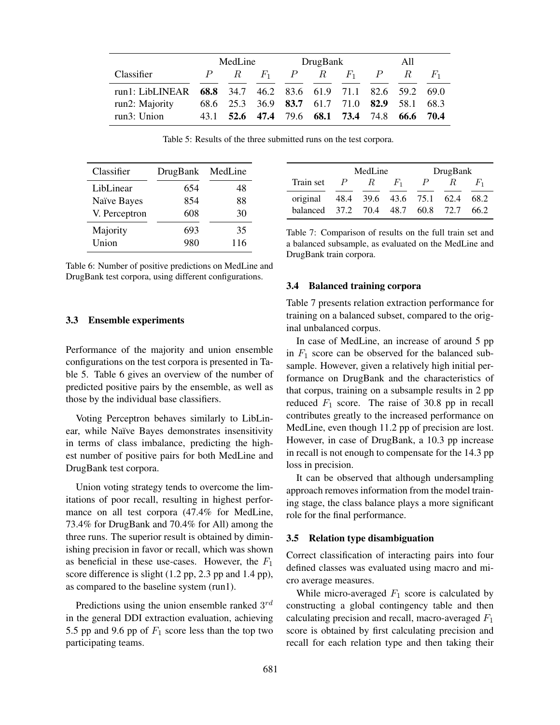|                                                              | MedLine |             | DrugBank                                |             |  | All |   |             |                |
|--------------------------------------------------------------|---------|-------------|-----------------------------------------|-------------|--|-----|---|-------------|----------------|
| Classifier                                                   |         | $R_{\perp}$ | $F_1$                                   | $P$ R $F_1$ |  |     | P | $R_{\cdot}$ | H <sub>1</sub> |
| run1: LibLINEAR 68.8 34.7 46.2 83.6 61.9 71.1 82.6 59.2 69.0 |         |             |                                         |             |  |     |   |             |                |
| run2: Majority                                               |         |             | 68.6 25.3 36.9 83.7 61.7 71.0 82.9 58.1 |             |  |     |   |             | 68.3           |
| run3: Union                                                  |         |             | 43.1 52.6 47.4 79.6 68.1 73.4 74.8      |             |  |     |   | 66.6        | 70.4           |

Table 5: Results of the three submitted runs on the test corpora.

| Classifier    | DrugBank | MedLine |
|---------------|----------|---------|
| LibLinear     | 654      | 48      |
| Naïve Bayes   | 854      | 88      |
| V. Perceptron | 608      | 30      |
| Majority      | 693      | 35      |
| Union         | 980      | 116     |

Table 6: Number of positive predictions on MedLine and DrugBank test corpora, using different configurations.

#### 3.3 Ensemble experiments

Performance of the majority and union ensemble configurations on the test corpora is presented in Table 5. Table 6 gives an overview of the number of predicted positive pairs by the ensemble, as well as those by the individual base classifiers.

Voting Perceptron behaves similarly to LibLinear, while Naïve Bayes demonstrates insensitivity in terms of class imbalance, predicting the highest number of positive pairs for both MedLine and DrugBank test corpora.

Union voting strategy tends to overcome the limitations of poor recall, resulting in highest performance on all test corpora (47.4% for MedLine, 73.4% for DrugBank and 70.4% for All) among the three runs. The superior result is obtained by diminishing precision in favor or recall, which was shown as beneficial in these use-cases. However, the  $F_1$ score difference is slight (1.2 pp, 2.3 pp and 1.4 pp), as compared to the baseline system (run1).

Predictions using the union ensemble ranked  $3^{rd}$ in the general DDI extraction evaluation, achieving 5.5 pp and 9.6 pp of  $F_1$  score less than the top two participating teams.

|                                   |               | MedLine |       | DrugBank |    |                |  |
|-----------------------------------|---------------|---------|-------|----------|----|----------------|--|
| Train set                         | $\mathcal{P}$ | $R_{-}$ | $F_1$ | P        | K. | H <sub>1</sub> |  |
| original 48.4 39.6 43.6 75.1 62.4 |               |         |       |          |    | 68.2           |  |
| balanced 37.2 70.4 48.7 60.8 72.7 |               |         |       |          |    | 66.2           |  |

Table 7: Comparison of results on the full train set and a balanced subsample, as evaluated on the MedLine and DrugBank train corpora.

## 3.4 Balanced training corpora

Table 7 presents relation extraction performance for training on a balanced subset, compared to the original unbalanced corpus.

In case of MedLine, an increase of around 5 pp in  $F_1$  score can be observed for the balanced subsample. However, given a relatively high initial performance on DrugBank and the characteristics of that corpus, training on a subsample results in 2 pp reduced  $F_1$  score. The raise of 30.8 pp in recall contributes greatly to the increased performance on MedLine, even though 11.2 pp of precision are lost. However, in case of DrugBank, a 10.3 pp increase in recall is not enough to compensate for the 14.3 pp loss in precision.

It can be observed that although undersampling approach removes information from the model training stage, the class balance plays a more significant role for the final performance.

#### 3.5 Relation type disambiguation

Correct classification of interacting pairs into four defined classes was evaluated using macro and micro average measures.

While micro-averaged  $F_1$  score is calculated by constructing a global contingency table and then calculating precision and recall, macro-averaged  $F_1$ score is obtained by first calculating precision and recall for each relation type and then taking their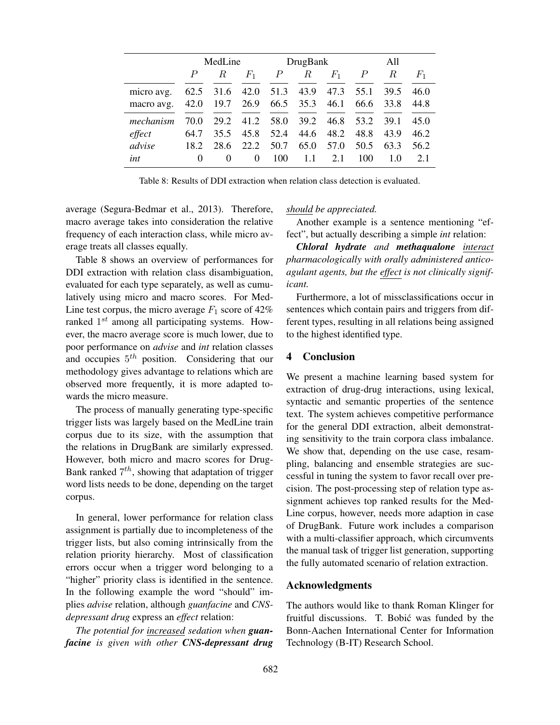|            | MedLine |          |          | DrugBank |      |       | All  |      |       |
|------------|---------|----------|----------|----------|------|-------|------|------|-------|
|            | P       | R        | $F_1$    | P        | R    | $F_1$ | Р    | R    | $F_1$ |
| micro avg. | 62.5    | 31.6     | 42.0     | 51.3     | 43.9 | 47.3  | 55.1 | 39.5 | 46.0  |
| macro avg. | 42.0    | 19.7     | 26.9     | 66.5     | 35.3 | 46.1  | 66.6 | 33.8 | 44.8  |
| mechanism  | 70.0    | 29.2     | 41.2     | 58.0     | 39.2 | 46.8  | 53.2 | 39.1 | 45.0  |
| effect     | 64.7    | 35.5     | 45.8     | 52.4     | 44.6 | 48.2  | 48.8 | 43.9 | 46.2  |
| advise     | 18.2    | 28.6     | 22.2     | 50.7     | 65.0 | 57.0  | 50.5 | 63.3 | 56.2  |
| int        | 0       | $\theta$ | $\Omega$ | 100      | 1.1  | 2.1   | 100  | 1.0  | 2.1   |

Table 8: Results of DDI extraction when relation class detection is evaluated.

average (Segura-Bedmar et al., 2013). Therefore, macro average takes into consideration the relative frequency of each interaction class, while micro average treats all classes equally.

Table 8 shows an overview of performances for DDI extraction with relation class disambiguation, evaluated for each type separately, as well as cumulatively using micro and macro scores. For Med-Line test corpus, the micro average  $F_1$  score of 42% ranked  $1^{st}$  among all participating systems. However, the macro average score is much lower, due to poor performance on *advise* and *int* relation classes and occupies  $5^{th}$  position. Considering that our methodology gives advantage to relations which are observed more frequently, it is more adapted towards the micro measure.

The process of manually generating type-specific trigger lists was largely based on the MedLine train corpus due to its size, with the assumption that the relations in DrugBank are similarly expressed. However, both micro and macro scores for Drug-Bank ranked  $7^{th}$ , showing that adaptation of trigger word lists needs to be done, depending on the target corpus.

In general, lower performance for relation class assignment is partially due to incompleteness of the trigger lists, but also coming intrinsically from the relation priority hierarchy. Most of classification errors occur when a trigger word belonging to a "higher" priority class is identified in the sentence. In the following example the word "should" implies *advise* relation, although *guanfacine* and *CNSdepressant drug* express an *effect* relation:

*The potential for increased sedation when guanfacine is given with other CNS-depressant drug* *should be appreciated.*

Another example is a sentence mentioning "effect", but actually describing a simple *int* relation:

*Chloral hydrate and methaqualone interact pharmacologically with orally administered anticoagulant agents, but the effect is not clinically significant.*

Furthermore, a lot of missclassifications occur in sentences which contain pairs and triggers from different types, resulting in all relations being assigned to the highest identified type.

## 4 Conclusion

We present a machine learning based system for extraction of drug-drug interactions, using lexical, syntactic and semantic properties of the sentence text. The system achieves competitive performance for the general DDI extraction, albeit demonstrating sensitivity to the train corpora class imbalance. We show that, depending on the use case, resampling, balancing and ensemble strategies are successful in tuning the system to favor recall over precision. The post-processing step of relation type assignment achieves top ranked results for the Med-Line corpus, however, needs more adaption in case of DrugBank. Future work includes a comparison with a multi-classifier approach, which circumvents the manual task of trigger list generation, supporting the fully automated scenario of relation extraction.

## Acknowledgments

The authors would like to thank Roman Klinger for fruitful discussions. T. Bobić was funded by the Bonn-Aachen International Center for Information Technology (B-IT) Research School.